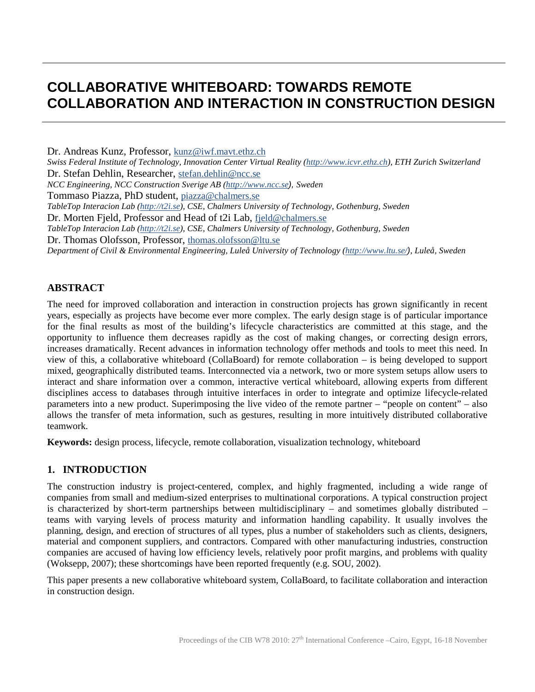# **COLLABORATIVE WHITEBOARD: TOWARDS REMOTE COLLABORATION AND INTERACTION IN CONSTRUCTION DESIGN**

Dr. Andreas Kunz, Professor, [kunz@iwf.mavt.ethz.ch](mailto:kunz@iwf.mavt.ethz.ch) *Swiss Federal Institute of Technology, Innovation Center Virtual Reality [\(http://www.icvr.ethz.ch\)](http://www.icvr.ethz.ch/), ETH Zurich Switzerland*  Dr. Stefan Dehlin, Researcher, [stefan.dehlin@ncc.se](mailto:stefan.dehlin@ncc.se) *NCC Engineering, NCC Construction Sverige AB [\(http://www.ncc.se](http://www.ncc.se/)), Sweden* Tommaso Piazza, PhD student, [piazza@chalmers.se](mailto:piazza@chalmers.se) *TableTop Interacion Lab ( [http://t2i.se\)](http://t2i.se/), CSE, Chalmers University of Technology, Gothenburg, Sweden* Dr. Morten Fjeld, Professor and Head of t2i Lab, [fjeld@chalmers.se](mailto:fjeld@chalmers.se) *TableTop Interacion Lab ( [http://t2i.se\)](http://t2i.se/), CSE, Chalmers University of Technology, Gothenburg, Sweden* Dr. Thomas Olofsson, Professor, [thomas.olofsson@ltu.se](mailto:thomas.olofsson@ltu.se) *Department of Civil & Environmental Engineering, Luleå University of Technology [\(http://www.ltu.se/](http://www.ltu.se/)), Luleå, Sweden*

## **ABSTRACT**

The need for improved collaboration and interaction in construction projects has grown significantly in recent years, especially as projects have become ever more complex. The early design stage is of particular importance for the final results as most of the building's lifecycle characteristics are committed at this stage, and the opportunity to influence them decreases rapidly as the cost of making changes, or correcting design errors, increases dramatically. Recent advances in information technology offer methods and tools to meet this need. In view of this, a collaborative whiteboard (CollaBoard) for remote collaboration – is being developed to support mixed, geographically distributed teams. Interconnected via a network, two or more system setups allow users to interact and share information over a common, interactive vertical whiteboard, allowing experts from different disciplines access to databases through intuitive interfaces in order to integrate and optimize lifecycle-related parameters into a new product. Superimposing the live video of the remote partner – "people on content" – also allows the transfer of meta information, such as gestures, resulting in more intuitively distributed collaborative teamwork.

**Keywords:** design process, lifecycle, remote collaboration, visualization technology, whiteboard

### **1. INTRODUCTION**

The construction industry is project-centered, complex, and highly fragmented, including a wide range of companies from small and medium-sized enterprises to multinational corporations. A typical construction project is characterized by short-term partnerships between multidisciplinary – and sometimes globally distributed – teams with varying levels of process maturity and information handling capability. It usually involves the planning, design, and erection of structures of all types, plus a number of stakeholders such as clients, designers, material and component suppliers, and contractors. Compared with other manufacturing industries, construction companies are accused of having low efficiency levels, relatively poor profit margins, and problems with quality (Woksepp, 2007); these shortcomings have been reported frequently (e.g. SOU, 2002).

This paper presents a new collaborative whiteboard system, CollaBoard, to facilitate collaboration and interaction in construction design.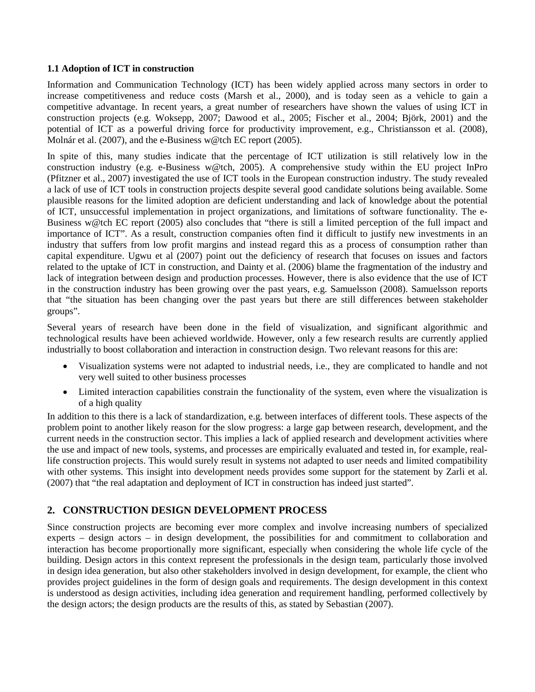#### **1.1 Adoption of ICT in construction**

Information and Communication Technology (ICT) has been widely applied across many sectors in order to increase competitiveness and reduce costs (Marsh et al., 2000), and is today seen as a vehicle to gain a competitive advantage. In recent years, a great number of researchers have shown the values of using ICT in construction projects (e.g. Woksepp, 2007; Dawood et al., 2005; Fischer et al., 2004; Björk, 2001) and the potential of ICT as a powerful driving force for productivity improvement, e.g., Christiansson et al. (2008), Molnár et al. (2007), and the e-Business w@tch EC report (2005).

In spite of this, many studies indicate that the percentage of ICT utilization is still relatively low in the construction industry (e.g. e-Business w@tch, 2005). A comprehensive study within the EU project InPro (Pfitzner et al., 2007) investigated the use of ICT tools in the European construction industry. The study revealed a lack of use of ICT tools in construction projects despite several good candidate solutions being available. Some plausible reasons for the limited adoption are deficient understanding and lack of knowledge about the potential of ICT, unsuccessful implementation in project organizations, and limitations of software functionality. The e-Business w@tch EC report (2005) also concludes that "there is still a limited perception of the full impact and importance of ICT". As a result, construction companies often find it difficult to justify new investments in an industry that suffers from low profit margins and instead regard this as a process of consumption rather than capital expenditure. Ugwu et al (2007) point out the deficiency of research that focuses on issues and factors related to the uptake of ICT in construction, and Dainty et al. (2006) blame the fragmentation of the industry and lack of integration between design and production processes. However, there is also evidence that the use of ICT in the construction industry has been growing over the past years, e.g. Samuelsson (2008). Samuelsson reports that "the situation has been changing over the past years but there are still differences between stakeholder groups".

Several years of research have been done in the field of visualization, and significant algorithmic and technological results have been achieved worldwide. However, only a few research results are currently applied industrially to boost collaboration and interaction in construction design. Two relevant reasons for this are:

- Visualization systems were not adapted to industrial needs, i.e., they are complicated to handle and not very well suited to other business processes
- Limited interaction capabilities constrain the functionality of the system, even where the visualization is of a high quality

In addition to this there is a lack of standardization, e.g. between interfaces of different tools. These aspects of the problem point to another likely reason for the slow progress: a large gap between research, development, and the current needs in the construction sector. This implies a lack of applied research and development activities where the use and impact of new tools, systems, and processes are empirically evaluated and tested in, for example, reallife construction projects. This would surely result in systems not adapted to user needs and limited compatibility with other systems. This insight into development needs provides some support for the statement by Zarli et al. (2007) that "the real adaptation and deployment of ICT in construction has indeed just started".

## **2. CONSTRUCTION DESIGN DEVELOPMENT PROCESS**

Since construction projects are becoming ever more complex and involve increasing numbers of specialized experts – design actors – in design development, the possibilities for and commitment to collaboration and interaction has become proportionally more significant, especially when considering the whole life cycle of the building. Design actors in this context represent the professionals in the design team, particularly those involved in design idea generation, but also other stakeholders involved in design development, for example, the client who provides project guidelines in the form of design goals and requirements. The design development in this context is understood as design activities, including idea generation and requirement handling, performed collectively by the design actors; the design products are the results of this, as stated by Sebastian (2007).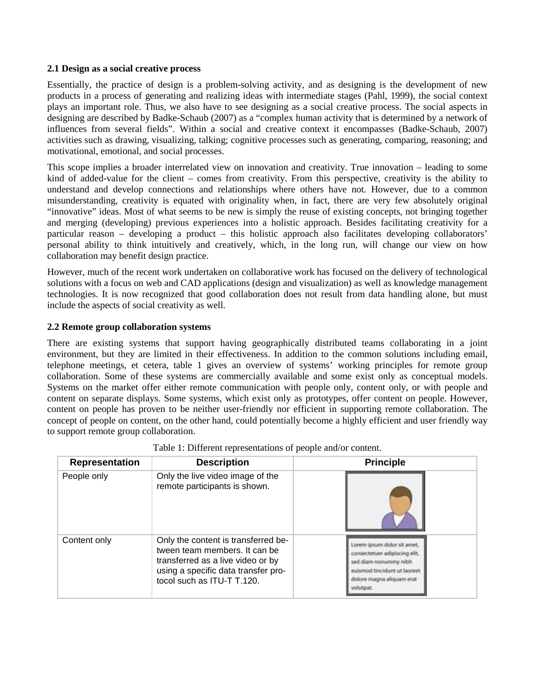#### **2.1 Design as a social creative process**

Essentially, the practice of design is a problem-solving activity, and as designing is the development of new products in a process of generating and realizing ideas with intermediate stages (Pahl, 1999), the social context plays an important role. Thus, we also have to see designing as a social creative process. The social aspects in designing are described by Badke-Schaub (2007) as a "complex human activity that is determined by a network of influences from several fields". Within a social and creative context it encompasses (Badke-Schaub, 2007) activities such as drawing, visualizing, talking; cognitive processes such as generating, comparing, reasoning; and motivational, emotional, and social processes.

This scope implies a broader interrelated view on innovation and creativity. True innovation – leading to some kind of added-value for the client – comes from creativity. From this perspective, creativity is the ability to understand and develop connections and relationships where others have not. However, due to a common misunderstanding, creativity is equated with originality when, in fact, there are very few absolutely original "innovative" ideas. Most of what seems to be new is simply the reuse of existing concepts, not bringing together and merging (developing) previous experiences into a holistic approach. Besides facilitating creativity for a particular reason – developing a product – this holistic approach also facilitates developing collaborators' personal ability to think intuitively and creatively, which, in the long run, will change our view on how collaboration may benefit design practice.

However, much of the recent work undertaken on collaborative work has focused on the delivery of technological solutions with a focus on web and CAD applications (design and visualization) as well as knowledge management technologies. It is now recognized that good collaboration does not result from data handling alone, but must include the aspects of social creativity as well.

### **2.2 Remote group collaboration systems**

There are existing systems that support having geographically distributed teams collaborating in a joint environment, but they are limited in their effectiveness. In addition to the common solutions including email, telephone meetings, et cetera, table 1 gives an overview of systems' working principles for remote group collaboration. Some of these systems are commercially available and some exist only as conceptual models. Systems on the market offer either remote communication with people only, content only, or with people and content on separate displays. Some systems, which exist only as prototypes, offer content on people. However, content on people has proven to be neither user-friendly nor efficient in supporting remote collaboration. The concept of people on content, on the other hand, could potentially become a highly efficient and user friendly way to support remote group collaboration.

| <b>Representation</b> | <b>Description</b>                                                                                                                                                             | <b>Principle</b>                                                                                                                                             |
|-----------------------|--------------------------------------------------------------------------------------------------------------------------------------------------------------------------------|--------------------------------------------------------------------------------------------------------------------------------------------------------------|
| People only           | Only the live video image of the<br>remote participants is shown.                                                                                                              |                                                                                                                                                              |
| Content only          | Only the content is transferred be-<br>tween team members. It can be<br>transferred as a live video or by<br>using a specific data transfer pro-<br>tocol such as ITU-T T.120. | orem ipsum dolor sit amet,<br>onsectetuer adipiscing elit.<br>ed diam nonummy nibh<br>euismod tincidunt ut lagreet<br>dolore magna aliquam erat<br>volutnat. |

|  |  | Table 1: Different representations of people and/or content. |
|--|--|--------------------------------------------------------------|
|  |  |                                                              |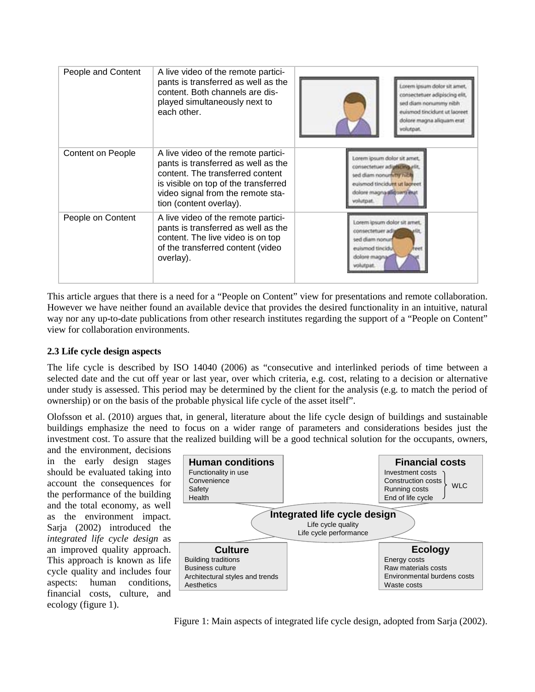| People and Content       | A live video of the remote partici-<br>pants is transferred as well as the<br>content. Both channels are dis-<br>played simultaneously next to<br>each other.                                                          | Lorem ipsum dolor sit amet,<br>consectetuer adipiscing elit,<br>sed diam nonummy nibh<br>euismod tincidunt ut laoreet<br>dolore magna aliquam erat<br>volutpat.     |
|--------------------------|------------------------------------------------------------------------------------------------------------------------------------------------------------------------------------------------------------------------|---------------------------------------------------------------------------------------------------------------------------------------------------------------------|
| <b>Content on People</b> | A live video of the remote partici-<br>pants is transferred as well as the<br>content. The transferred content<br>is visible on top of the transferred<br>video signal from the remote sta-<br>tion (content overlay). | Lorem ipsum dolor sit amet.<br>consectetuer ad utically rit.<br>sed diam nonuminy nich<br>euismod tincidutti ut lagreet.<br>dolore magna alliguara erat<br>alutnat. |
| People on Content        | A live video of the remote partici-<br>pants is transferred as well as the<br>content. The live video is on top<br>of the transferred content (video<br>overlay).                                                      | Lorem ipsum dolor sit amet.<br>omsectetuer adj<br>sed diam nonur<br>eulsmod tincidul<br>heert<br>dolore magna<br>rolutpat.                                          |

This article argues that there is a need for a "People on Content" view for presentations and remote collaboration. However we have neither found an available device that provides the desired functionality in an intuitive, natural way nor any up-to-date publications from other research institutes regarding the support of a "People on Content" view for collaboration environments.

## **2.3 Life cycle design aspects**

The life cycle is described by ISO 14040 (2006) as "consecutive and interlinked periods of time between a selected date and the cut off year or last year, over which criteria, e.g. cost, relating to a decision or alternative under study is assessed. This period may be determined by the client for the analysis (e.g. to match the period of ownership) or on the basis of the probable physical life cycle of the asset itself".

Olofsson et al. (2010) argues that, in general, literature about the life cycle design of buildings and sustainable buildings emphasize the need to focus on a wider range of parameters and considerations besides just the investment cost. To assure that the realized building will be a good technical solution for the occupants, owners,

and the environment, decisions in the early design stages should be evaluated taking into account the consequences for the performance of the building and the total economy, as well as the environment impact. Sarja (2002) introduced the *integrated life cycle design* as an improved quality approach. This approach is known as life cycle quality and includes four aspects: human conditions, financial costs, culture, and ecology (figure 1).



Figure 1: Main aspects of integrated life cycle design, adopted from Sarja (2002).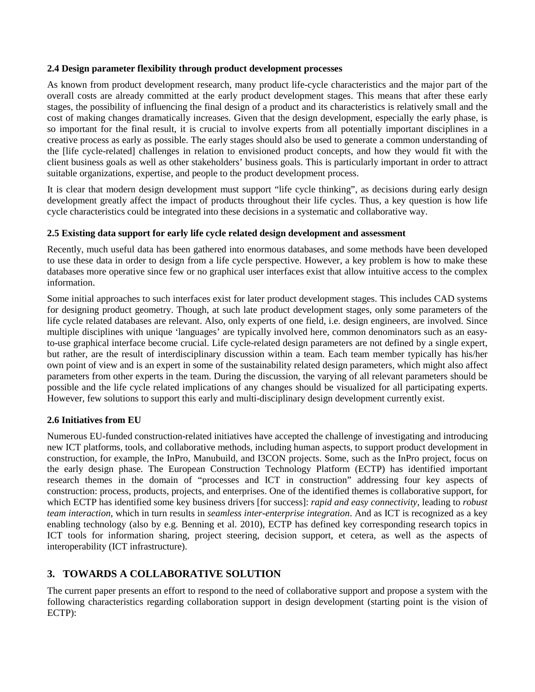### **2.4 Design parameter flexibility through product development processes**

As known from product development research, many product life-cycle characteristics and the major part of the overall costs are already committed at the early product development stages. This means that after these early stages, the possibility of influencing the final design of a product and its characteristics is relatively small and the cost of making changes dramatically increases. Given that the design development, especially the early phase, is so important for the final result, it is crucial to involve experts from all potentially important disciplines in a creative process as early as possible. The early stages should also be used to generate a common understanding of the [life cycle-related] challenges in relation to envisioned product concepts, and how they would fit with the client business goals as well as other stakeholders' business goals. This is particularly important in order to attract suitable organizations, expertise, and people to the product development process.

It is clear that modern design development must support "life cycle thinking", as decisions during early design development greatly affect the impact of products throughout their life cycles. Thus, a key question is how life cycle characteristics could be integrated into these decisions in a systematic and collaborative way.

## **2.5 Existing data support for early life cycle related design development and assessment**

Recently, much useful data has been gathered into enormous databases, and some methods have been developed to use these data in order to design from a life cycle perspective. However, a key problem is how to make these databases more operative since few or no graphical user interfaces exist that allow intuitive access to the complex information.

Some initial approaches to such interfaces exist for later product development stages. This includes CAD systems for designing product geometry. Though, at such late product development stages, only some parameters of the life cycle related databases are relevant. Also, only experts of one field, i.e. design engineers, are involved. Since multiple disciplines with unique 'languages' are typically involved here, common denominators such as an easyto-use graphical interface become crucial. Life cycle-related design parameters are not defined by a single expert, but rather, are the result of interdisciplinary discussion within a team. Each team member typically has his/her own point of view and is an expert in some of the sustainability related design parameters, which might also affect parameters from other experts in the team. During the discussion, the varying of all relevant parameters should be possible and the life cycle related implications of any changes should be visualized for all participating experts. However, few solutions to support this early and multi-disciplinary design development currently exist.

## **2.6 Initiatives from EU**

Numerous EU-funded construction-related initiatives have accepted the challenge of investigating and introducing new ICT platforms, tools, and collaborative methods, including human aspects, to support product development in construction, for example, the InPro, Manubuild, and I3CON projects. Some, such as the InPro project, focus on the early design phase. The European Construction Technology Platform (ECTP) has identified important research themes in the domain of "processes and ICT in construction" addressing four key aspects of construction: process, products, projects, and enterprises. One of the identified themes is collaborative support, for which ECTP has identified some key business drivers [for success]: *rapid and easy connectivity*, leading to *robust team interaction*, which in turn results in *seamless inter-enterprise integration*. And as ICT is recognized as a key enabling technology (also by e.g. Benning et al. 2010), ECTP has defined key corresponding research topics in ICT tools for information sharing, project steering, decision support, et cetera, as well as the aspects of interoperability (ICT infrastructure).

# **3. TOWARDS A COLLABORATIVE SOLUTION**

The current paper presents an effort to respond to the need of collaborative support and propose a system with the following characteristics regarding collaboration support in design development (starting point is the vision of ECTP):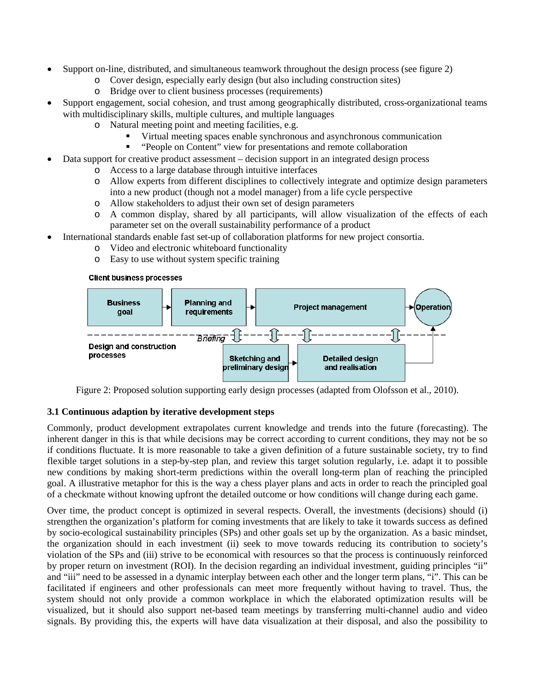- Support on-line, distributed, and simultaneous teamwork throughout the design process (see figure 2)
	- o Cover design, especially early design (but also including construction sites)
		- o Bridge over to client business processes (requirements)
- Support engagement, social cohesion, and trust among geographically distributed, cross-organizational teams with multidisciplinary skills, multiple cultures, and multiple languages
	- o Natural meeting point and meeting facilities, e.g.
		- Virtual meeting spaces enable synchronous and asynchronous communication
		- "People on Content" view for presentations and remote collaboration
	- Data support for creative product assessment decision support in an integrated design process
		- o Access to a large database through intuitive interfaces
		- o Allow experts from different disciplines to collectively integrate and optimize design parameters into a new product (though not a model manager) from a life cycle perspective
		- o Allow stakeholders to adjust their own set of design parameters
		- o A common display, shared by all participants, will allow visualization of the effects of each parameter set on the overall sustainability performance of a product
- International standards enable fast set-up of collaboration platforms for new project consortia.
	- o Video and electronic whiteboard functionality
	- o Easy to use without system specific training

### **Client business processes**



Figure 2: Proposed solution supporting early design processes (adapted from Olofsson et al., 2010).

## **3.1 Continuous adaption by iterative development steps**

Commonly, product development extrapolates current knowledge and trends into the future (forecasting). The inherent danger in this is that while decisions may be correct according to current conditions, they may not be so if conditions fluctuate. It is more reasonable to take a given definition of a future sustainable society, try to find flexible target solutions in a step-by-step plan, and review this target solution regularly, i.e. adapt it to possible new conditions by making short-term predictions within the overall long-term plan of reaching the principled goal. A illustrative metaphor for this is the way a chess player plans and acts in order to reach the principled goal of a checkmate without knowing upfront the detailed outcome or how conditions will change during each game.

Over time, the product concept is optimized in several respects. Overall, the investments (decisions) should (i) strengthen the organization's platform for coming investments that are likely to take it towards success as defined by socio-ecological sustainability principles (SPs) and other goals set up by the organization. As a basic mindset, the organization should in each investment (ii) seek to move towards reducing its contribution to society's violation of the SPs and (iii) strive to be economical with resources so that the process is continuously reinforced by proper return on investment (ROI). In the decision regarding an individual investment, guiding principles "ii" and "iii" need to be assessed in a dynamic interplay between each other and the longer term plans, "i". This can be facilitated if engineers and other professionals can meet more frequently without having to travel. Thus, the system should not only provide a common workplace in which the elaborated optimization results will be visualized, but it should also support net-based team meetings by transferring multi-channel audio and video signals. By providing this, the experts will have data visualization at their disposal, and also the possibility to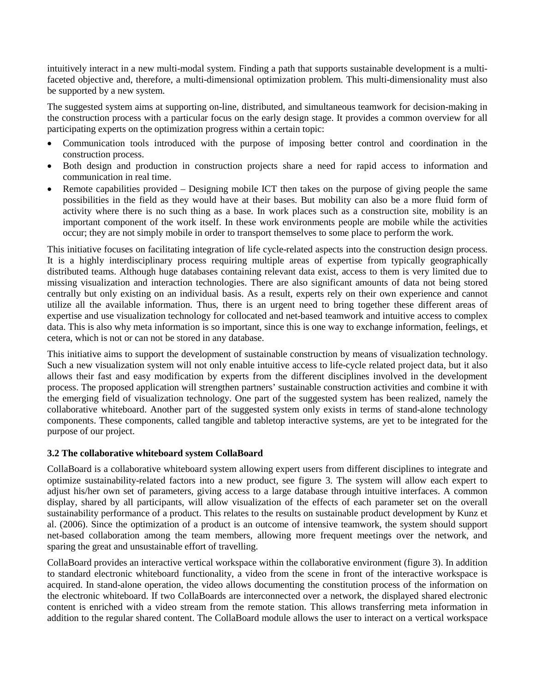intuitively interact in a new multi-modal system. Finding a path that supports sustainable development is a multifaceted objective and, therefore, a multi-dimensional optimization problem. This multi-dimensionality must also be supported by a new system.

The suggested system aims at supporting on-line, distributed, and simultaneous teamwork for decision-making in the construction process with a particular focus on the early design stage. It provides a common overview for all participating experts on the optimization progress within a certain topic:

- Communication tools introduced with the purpose of imposing better control and coordination in the construction process.
- Both design and production in construction projects share a need for rapid access to information and communication in real time.
- Remote capabilities provided Designing mobile ICT then takes on the purpose of giving people the same possibilities in the field as they would have at their bases. But mobility can also be a more fluid form of activity where there is no such thing as a base. In work places such as a construction site, mobility is an important component of the work itself. In these work environments people are mobile while the activities occur; they are not simply mobile in order to transport themselves to some place to perform the work.

This initiative focuses on facilitating integration of life cycle-related aspects into the construction design process. It is a highly interdisciplinary process requiring multiple areas of expertise from typically geographically distributed teams. Although huge databases containing relevant data exist, access to them is very limited due to missing visualization and interaction technologies. There are also significant amounts of data not being stored centrally but only existing on an individual basis. As a result, experts rely on their own experience and cannot utilize all the available information. Thus, there is an urgent need to bring together these different areas of expertise and use visualization technology for collocated and net-based teamwork and intuitive access to complex data. This is also why meta information is so important, since this is one way to exchange information, feelings, et cetera, which is not or can not be stored in any database.

This initiative aims to support the development of sustainable construction by means of visualization technology. Such a new visualization system will not only enable intuitive access to life-cycle related project data, but it also allows their fast and easy modification by experts from the different disciplines involved in the development process. The proposed application will strengthen partners' sustainable construction activities and combine it with the emerging field of visualization technology. One part of the suggested system has been realized, namely the collaborative whiteboard. Another part of the suggested system only exists in terms of stand-alone technology components. These components, called tangible and tabletop interactive systems, are yet to be integrated for the purpose of our project.

### **3.2 The collaborative whiteboard system CollaBoard**

CollaBoard is a collaborative whiteboard system allowing expert users from different disciplines to integrate and optimize sustainability-related factors into a new product, see figure 3. The system will allow each expert to adjust his/her own set of parameters, giving access to a large database through intuitive interfaces. A common display, shared by all participants, will allow visualization of the effects of each parameter set on the overall sustainability performance of a product. This relates to the results on sustainable product development by Kunz et al. (2006). Since the optimization of a product is an outcome of intensive teamwork, the system should support net-based collaboration among the team members, allowing more frequent meetings over the network, and sparing the great and unsustainable effort of travelling.

CollaBoard provides an interactive vertical workspace within the collaborative environment (figure 3). In addition to standard electronic whiteboard functionality, a video from the scene in front of the interactive workspace is acquired. In stand-alone operation, the video allows documenting the constitution process of the information on the electronic whiteboard. If two CollaBoards are interconnected over a network, the displayed shared electronic content is enriched with a video stream from the remote station. This allows transferring meta information in addition to the regular shared content. The CollaBoard module allows the user to interact on a vertical workspace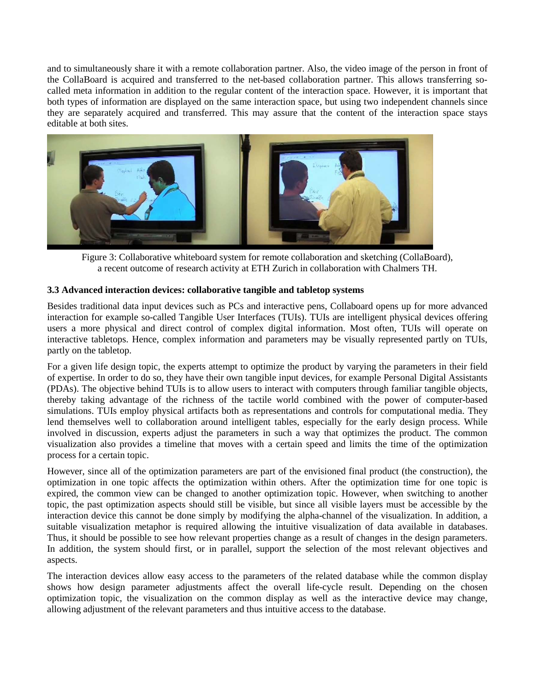and to simultaneously share it with a remote collaboration partner. Also, the video image of the person in front of the CollaBoard is acquired and transferred to the net-based collaboration partner. This allows transferring socalled meta information in addition to the regular content of the interaction space. However, it is important that both types of information are displayed on the same interaction space, but using two independent channels since they are separately acquired and transferred. This may assure that the content of the interaction space stays editable at both sites.



Figure 3: Collaborative whiteboard system for remote collaboration and sketching (CollaBoard), a recent outcome of research activity at ETH Zurich in collaboration with Chalmers TH.

## **3.3 Advanced interaction devices: collaborative tangible and tabletop systems**

Besides traditional data input devices such as PCs and interactive pens, Collaboard opens up for more advanced interaction for example so-called Tangible User Interfaces (TUIs). TUIs are intelligent physical devices offering users a more physical and direct control of complex digital information. Most often, TUIs will operate on interactive tabletops. Hence, complex information and parameters may be visually represented partly on TUIs, partly on the tabletop.

For a given life design topic, the experts attempt to optimize the product by varying the parameters in their field of expertise. In order to do so, they have their own tangible input devices, for example Personal Digital Assistants (PDAs). The objective behind TUIs is to allow users to interact with computers through familiar tangible objects, thereby taking advantage of the richness of the tactile world combined with the power of computer-based simulations. TUIs employ physical artifacts both as representations and controls for computational media. They lend themselves well to collaboration around intelligent tables, especially for the early design process. While involved in discussion, experts adjust the parameters in such a way that optimizes the product. The common visualization also provides a timeline that moves with a certain speed and limits the time of the optimization process for a certain topic.

However, since all of the optimization parameters are part of the envisioned final product (the construction), the optimization in one topic affects the optimization within others. After the optimization time for one topic is expired, the common view can be changed to another optimization topic. However, when switching to another topic, the past optimization aspects should still be visible, but since all visible layers must be accessible by the interaction device this cannot be done simply by modifying the alpha-channel of the visualization. In addition, a suitable visualization metaphor is required allowing the intuitive visualization of data available in databases. Thus, it should be possible to see how relevant properties change as a result of changes in the design parameters. In addition, the system should first, or in parallel, support the selection of the most relevant objectives and aspects.

The interaction devices allow easy access to the parameters of the related database while the common display shows how design parameter adjustments affect the overall life-cycle result. Depending on the chosen optimization topic, the visualization on the common display as well as the interactive device may change, allowing adjustment of the relevant parameters and thus intuitive access to the database.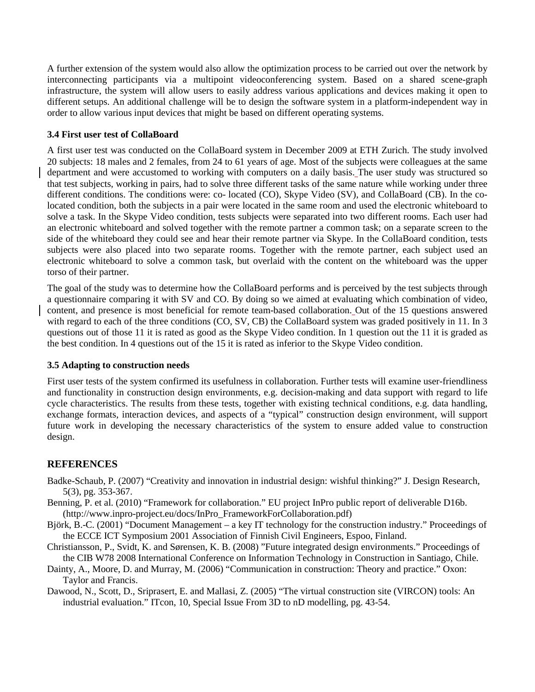A further extension of the system would also allow the optimization process to be carried out over the network by interconnecting participants via a multipoint videoconferencing system. Based on a shared scene-graph infrastructure, the system will allow users to easily address various applications and devices making it open to different setups. An additional challenge will be to design the software system in a platform-independent way in order to allow various input devices that might be based on different operating systems.

## **3.4 First user test of CollaBoard**

A first user test was conducted on the CollaBoard system in December 2009 at ETH Zurich. The study involved 20 subjects: 18 males and 2 females, from 24 to 61 years of age. Most of the subjects were colleagues at the same department and were accustomed to working with computers on a daily basis. The user study was structured so that test subjects, working in pairs, had to solve three different tasks of the same nature while working under three different conditions. The conditions were: co- located (CO), Skype Video (SV), and CollaBoard (CB). In the colocated condition, both the subjects in a pair were located in the same room and used the electronic whiteboard to solve a task. In the Skype Video condition, tests subjects were separated into two different rooms. Each user had an electronic whiteboard and solved together with the remote partner a common task; on a separate screen to the side of the whiteboard they could see and hear their remote partner via Skype. In the CollaBoard condition, tests subjects were also placed into two separate rooms. Together with the remote partner, each subject used an electronic whiteboard to solve a common task, but overlaid with the content on the whiteboard was the upper torso of their partner.

The goal of the study was to determine how the CollaBoard performs and is perceived by the test subjects through a questionnaire comparing it with SV and CO. By doing so we aimed at evaluating which combination of video, content, and presence is most beneficial for remote team-based collaboration. Out of the 15 questions answered with regard to each of the three conditions (CO, SV, CB) the CollaBoard system was graded positively in 11. In 3 questions out of those 11 it is rated as good as the Skype Video condition. In 1 question out the 11 it is graded as the best condition. In 4 questions out of the 15 it is rated as inferior to the Skype Video condition.

## **3.5 Adapting to construction needs**

First user tests of the system confirmed its usefulness in collaboration. Further tests will examine user-friendliness and functionality in construction design environments, e.g. decision-making and data support with regard to life cycle characteristics. The results from these tests, together with existing technical conditions, e.g. data handling, exchange formats, interaction devices, and aspects of a "typical" construction design environment, will support future work in developing the necessary characteristics of the system to ensure added value to construction design.

# **REFERENCES**

- Badke-Schaub, P. (2007) "Creativity and innovation in industrial design: wishful thinking?" J. Design Research, 5(3), pg. 353-367.
- Benning, P. et al. (2010) "Framework for collaboration." EU project InPro public report of deliverable D16b. (http://www.inpro-project.eu/docs/InPro\_FrameworkForCollaboration.pdf)
- Björk, B.-C. (2001) "Document Management a key IT technology for the construction industry." Proceedings of the ECCE ICT Symposium 2001 Association of Finnish Civil Engineers, Espoo, Finland.
- Christiansson, P., Svidt, K. and Sørensen, K. B. (2008) "Future integrated design environments." Proceedings of the CIB W78 2008 International Conference on Information Technology in Construction in Santiago, Chile.
- Dainty, A., Moore, D. and Murray, M. (2006) "Communication in construction: Theory and practice." Oxon: Taylor and Francis.
- Dawood, N., Scott, D., Sriprasert, E. and Mallasi, Z. (2005) "The virtual construction site (VIRCON) tools: An industrial evaluation." ITcon, 10, Special Issue From 3D to nD modelling, pg. 43-54.